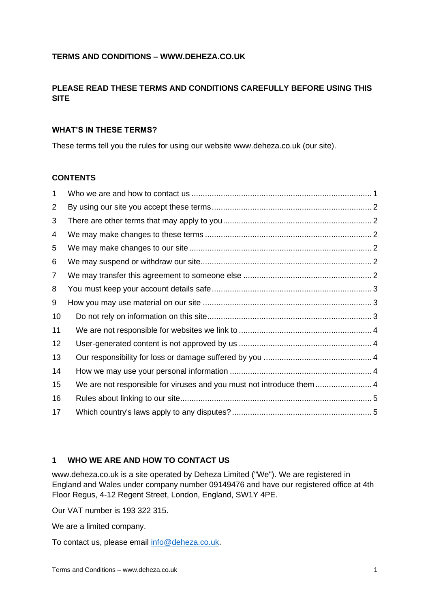## **TERMS AND CONDITIONS – WWW.DEHEZA.CO.UK**

# **PLEASE READ THESE TERMS AND CONDITIONS CAREFULLY BEFORE USING THIS SITE**

#### **WHAT'S IN THESE TERMS?**

These terms tell you the rules for using our website www.deheza.co.uk (our site).

#### **CONTENTS**

| 1              |  |
|----------------|--|
| 2              |  |
| 3              |  |
| 4              |  |
| 5              |  |
| 6              |  |
| $\overline{7}$ |  |
| 8              |  |
| 9              |  |
| 10             |  |
| 11             |  |
| 12             |  |
| 13             |  |
| 14             |  |
| 15             |  |
| 16             |  |
| 17             |  |
|                |  |

# <span id="page-0-0"></span>**1 WHO WE ARE AND HOW TO CONTACT US**

www.deheza.co.uk is a site operated by Deheza Limited ("We"). We are registered in England and Wales under company number 09149476 and have our registered office at 4th Floor Regus, 4-12 Regent Street, London, England, SW1Y 4PE.

Our VAT number is 193 322 315.

We are a limited company.

To contact us, please email [info@deheza.co.uk.](mailto:info@deheza.co.uk)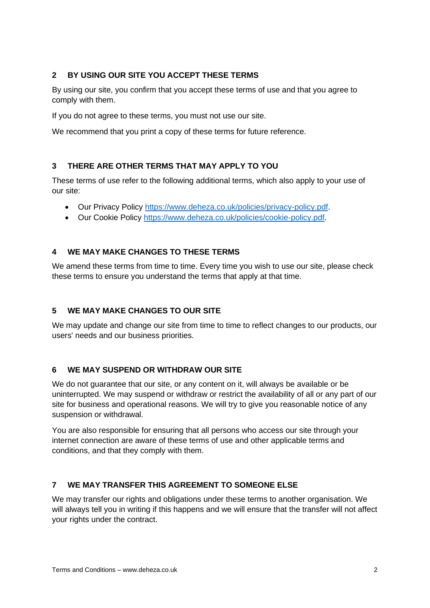# <span id="page-1-0"></span>**2 BY USING OUR SITE YOU ACCEPT THESE TERMS**

By using our site, you confirm that you accept these terms of use and that you agree to comply with them.

If you do not agree to these terms, you must not use our site.

We recommend that you print a copy of these terms for future reference.

# <span id="page-1-1"></span>**3 THERE ARE OTHER TERMS THAT MAY APPLY TO YOU**

These terms of use refer to the following additional terms, which also apply to your use of our site:

- Our Privacy Policy [https://www.deheza.co.uk/policies/privacy-policy.pdf.](https://www.deheza.co.uk/policies/privacy-policy.pdf)
- Our Cookie Policy [https://www.deheza.co.uk/policies/cookie-policy.pdf.](https://www.deheza.co.uk/policies/cookie-policy.pdf)

## <span id="page-1-2"></span>**4 WE MAY MAKE CHANGES TO THESE TERMS**

We amend these terms from time to time. Every time you wish to use our site, please check these terms to ensure you understand the terms that apply at that time.

## <span id="page-1-3"></span>**5 WE MAY MAKE CHANGES TO OUR SITE**

We may update and change our site from time to time to reflect changes to our products, our users' needs and our business priorities.

## <span id="page-1-4"></span>**6 WE MAY SUSPEND OR WITHDRAW OUR SITE**

We do not guarantee that our site, or any content on it, will always be available or be uninterrupted. We may suspend or withdraw or restrict the availability of all or any part of our site for business and operational reasons. We will try to give you reasonable notice of any suspension or withdrawal.

You are also responsible for ensuring that all persons who access our site through your internet connection are aware of these terms of use and other applicable terms and conditions, and that they comply with them.

## <span id="page-1-5"></span>**7 WE MAY TRANSFER THIS AGREEMENT TO SOMEONE ELSE**

We may transfer our rights and obligations under these terms to another organisation. We will always tell you in writing if this happens and we will ensure that the transfer will not affect your rights under the contract.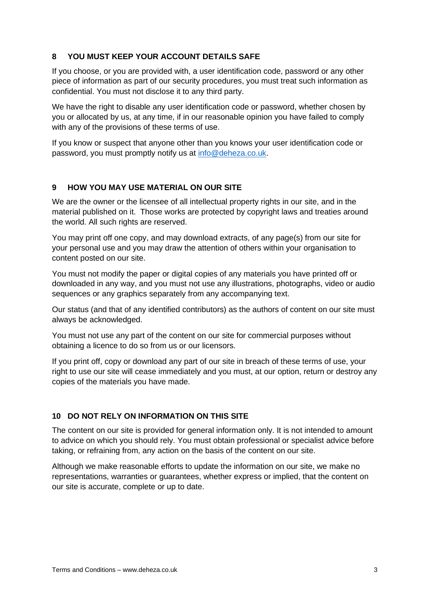### <span id="page-2-0"></span>**8 YOU MUST KEEP YOUR ACCOUNT DETAILS SAFE**

If you choose, or you are provided with, a user identification code, password or any other piece of information as part of our security procedures, you must treat such information as confidential. You must not disclose it to any third party.

We have the right to disable any user identification code or password, whether chosen by you or allocated by us, at any time, if in our reasonable opinion you have failed to comply with any of the provisions of these terms of use.

If you know or suspect that anyone other than you knows your user identification code or password, you must promptly notify us at [info@deheza.co.uk.](mailto:info@deheza.co.uk)

## <span id="page-2-1"></span>**9 HOW YOU MAY USE MATERIAL ON OUR SITE**

We are the owner or the licensee of all intellectual property rights in our site, and in the material published on it. Those works are protected by copyright laws and treaties around the world. All such rights are reserved.

You may print off one copy, and may download extracts, of any page(s) from our site for your personal use and you may draw the attention of others within your organisation to content posted on our site.

You must not modify the paper or digital copies of any materials you have printed off or downloaded in any way, and you must not use any illustrations, photographs, video or audio sequences or any graphics separately from any accompanying text.

Our status (and that of any identified contributors) as the authors of content on our site must always be acknowledged.

You must not use any part of the content on our site for commercial purposes without obtaining a licence to do so from us or our licensors.

If you print off, copy or download any part of our site in breach of these terms of use, your right to use our site will cease immediately and you must, at our option, return or destroy any copies of the materials you have made.

## <span id="page-2-2"></span>**10 DO NOT RELY ON INFORMATION ON THIS SITE**

The content on our site is provided for general information only. It is not intended to amount to advice on which you should rely. You must obtain professional or specialist advice before taking, or refraining from, any action on the basis of the content on our site.

Although we make reasonable efforts to update the information on our site, we make no representations, warranties or guarantees, whether express or implied, that the content on our site is accurate, complete or up to date.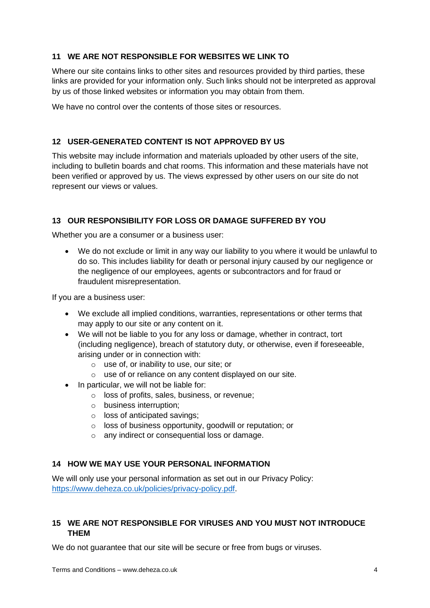### <span id="page-3-0"></span>**11 WE ARE NOT RESPONSIBLE FOR WEBSITES WE LINK TO**

Where our site contains links to other sites and resources provided by third parties, these links are provided for your information only. Such links should not be interpreted as approval by us of those linked websites or information you may obtain from them.

We have no control over the contents of those sites or resources.

# <span id="page-3-1"></span>**12 USER-GENERATED CONTENT IS NOT APPROVED BY US**

This website may include information and materials uploaded by other users of the site, including to bulletin boards and chat rooms. This information and these materials have not been verified or approved by us. The views expressed by other users on our site do not represent our views or values.

# <span id="page-3-2"></span>**13 OUR RESPONSIBILITY FOR LOSS OR DAMAGE SUFFERED BY YOU**

Whether you are a consumer or a business user:

• We do not exclude or limit in any way our liability to you where it would be unlawful to do so. This includes liability for death or personal injury caused by our negligence or the negligence of our employees, agents or subcontractors and for fraud or fraudulent misrepresentation.

If you are a business user:

- We exclude all implied conditions, warranties, representations or other terms that may apply to our site or any content on it.
- We will not be liable to you for any loss or damage, whether in contract, tort (including negligence), breach of statutory duty, or otherwise, even if foreseeable, arising under or in connection with:
	- o use of, or inability to use, our site; or
	- o use of or reliance on any content displayed on our site.
- In particular, we will not be liable for:
	- o loss of profits, sales, business, or revenue;
	- o business interruption;
	- o loss of anticipated savings;
	- o loss of business opportunity, goodwill or reputation; or
	- o any indirect or consequential loss or damage.

## <span id="page-3-3"></span>**14 HOW WE MAY USE YOUR PERSONAL INFORMATION**

We will only use your personal information as set out in our Privacy Policy: [https://www.deheza.co.uk/policies/privacy-policy.pdf.](https://www.deheza.co.uk/policies/privacy-policy.pdf)

### <span id="page-3-4"></span>**15 WE ARE NOT RESPONSIBLE FOR VIRUSES AND YOU MUST NOT INTRODUCE THEM**

We do not guarantee that our site will be secure or free from bugs or viruses.